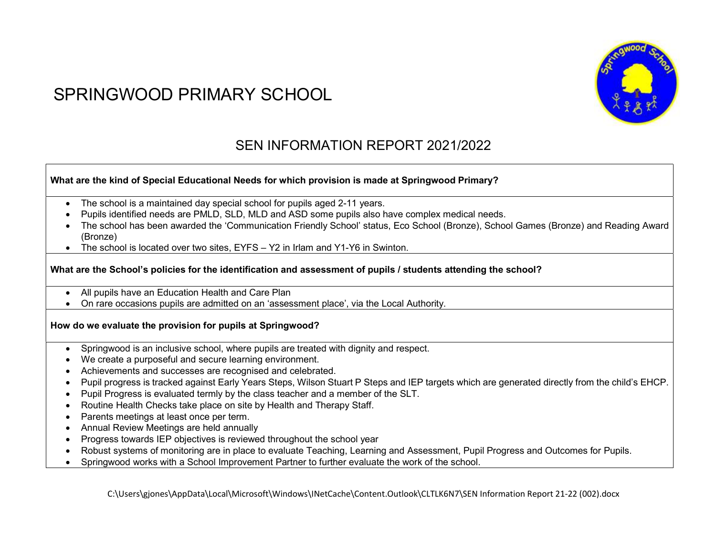# SPRINGWOOD PRIMARY SCHOOL



# SEN INFORMATION REPORT 2021/2022

#### What are the kind of Special Educational Needs for which provision is made at Springwood Primary?

- The school is a maintained day special school for pupils aged 2-11 years.
- Pupils identified needs are PMLD, SLD, MLD and ASD some pupils also have complex medical needs.
- The school has been awarded the 'Communication Friendly School' status, Eco School (Bronze), School Games (Bronze) and Reading Award (Bronze)
- The school is located over two sites, EYFS Y2 in Irlam and Y1-Y6 in Swinton.

#### What are the School's policies for the identification and assessment of pupils / students attending the school?

- All pupils have an Education Health and Care Plan
- On rare occasions pupils are admitted on an 'assessment place', via the Local Authority.

#### How do we evaluate the provision for pupils at Springwood?

- Springwood is an inclusive school, where pupils are treated with dignity and respect.
- We create a purposeful and secure learning environment.
- Achievements and successes are recognised and celebrated.
- Pupil progress is tracked against Early Years Steps, Wilson Stuart P Steps and IEP targets which are generated directly from the child's EHCP.
- Pupil Progress is evaluated termly by the class teacher and a member of the SLT.
- Routine Health Checks take place on site by Health and Therapy Staff.
- Parents meetings at least once per term.
- Annual Review Meetings are held annually
- Progress towards IEP objectives is reviewed throughout the school year
- Robust systems of monitoring are in place to evaluate Teaching, Learning and Assessment, Pupil Progress and Outcomes for Pupils.
- Springwood works with a School Improvement Partner to further evaluate the work of the school.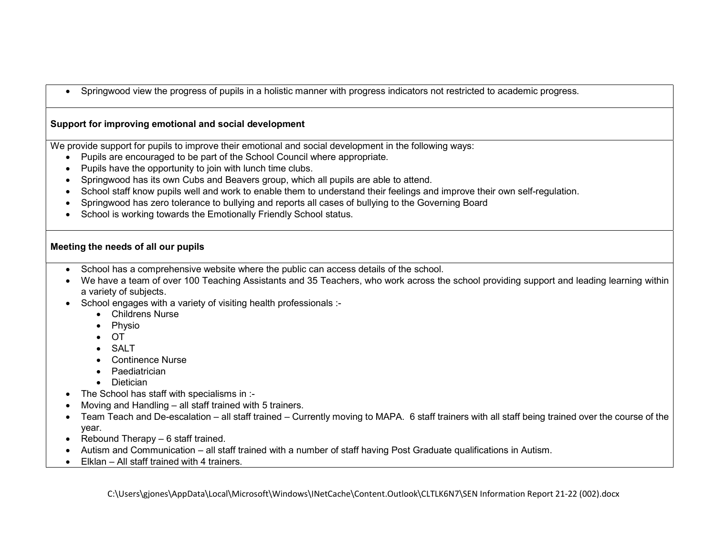Springwood view the progress of pupils in a holistic manner with progress indicators not restricted to academic progress.

#### Support for improving emotional and social development

We provide support for pupils to improve their emotional and social development in the following ways:

- Pupils are encouraged to be part of the School Council where appropriate.
- Pupils have the opportunity to join with lunch time clubs.
- Springwood has its own Cubs and Beavers group, which all pupils are able to attend.
- School staff know pupils well and work to enable them to understand their feelings and improve their own self-regulation.
- Springwood has zero tolerance to bullying and reports all cases of bullying to the Governing Board
- School is working towards the Emotionally Friendly School status.

#### Meeting the needs of all our pupils

- School has a comprehensive website where the public can access details of the school.
- We have a team of over 100 Teaching Assistants and 35 Teachers, who work across the school providing support and leading learning within a variety of subjects.
- School engages with a variety of visiting health professionals :-
	- Childrens Nurse
	- Physio
	- $\bullet$  OT
	- $\bullet$  SALT
	- Continence Nurse
	- Paediatrician
	- Dietician
- The School has staff with specialisms in :-
- Moving and Handling all staff trained with 5 trainers.
- Team Teach and De-escalation all staff trained Currently moving to MAPA. 6 staff trainers with all staff being trained over the course of the year.
- Rebound Therapy  $-6$  staff trained.
- Autism and Communication all staff trained with a number of staff having Post Graduate qualifications in Autism.
- Elklan All staff trained with 4 trainers.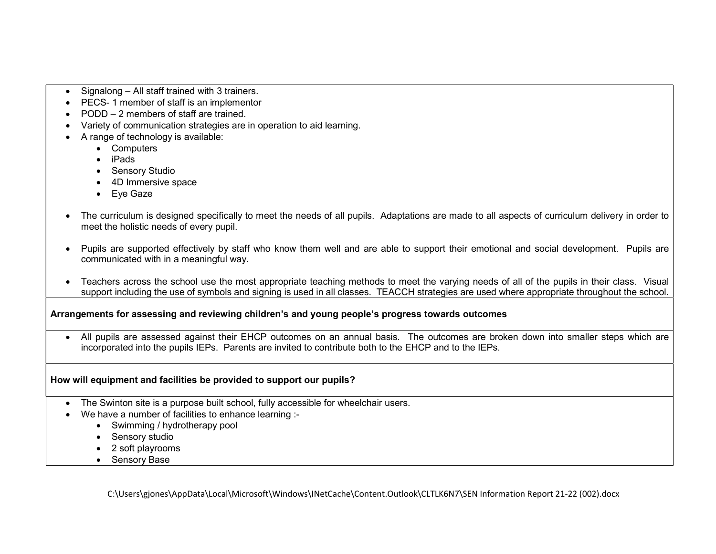- Signalong All staff trained with 3 trainers.
- PECS- 1 member of staff is an implementor
- PODD 2 members of staff are trained.
- Variety of communication strategies are in operation to aid learning.
- A range of technology is available:
	- Computers
	- iPads
	- Sensory Studio
	- 4D Immersive space
	- Eye Gaze
- The curriculum is designed specifically to meet the needs of all pupils. Adaptations are made to all aspects of curriculum delivery in order to meet the holistic needs of every pupil.
- Pupils are supported effectively by staff who know them well and are able to support their emotional and social development. Pupils are communicated with in a meaningful way.
- Teachers across the school use the most appropriate teaching methods to meet the varying needs of all of the pupils in their class. Visual support including the use of symbols and signing is used in all classes. TEACCH strategies are used where appropriate throughout the school.

#### Arrangements for assessing and reviewing children's and young people's progress towards outcomes

 All pupils are assessed against their EHCP outcomes on an annual basis. The outcomes are broken down into smaller steps which are incorporated into the pupils IEPs. Parents are invited to contribute both to the EHCP and to the IEPs.

#### How will equipment and facilities be provided to support our pupils?

- The Swinton site is a purpose built school, fully accessible for wheelchair users.
- We have a number of facilities to enhance learning :-
	- Swimming / hydrotherapy pool
	- Sensory studio
	- 2 soft playrooms
	- Sensory Base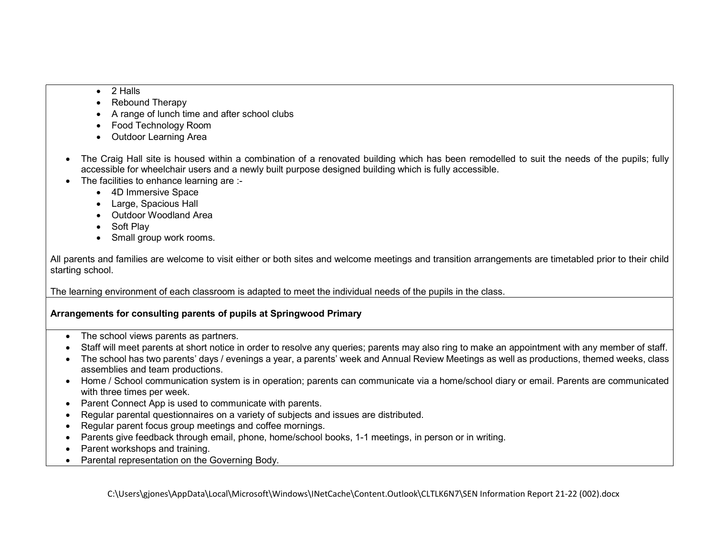- 2 Halls
- Rebound Therapy
- A range of lunch time and after school clubs
- Food Technology Room
- Outdoor Learning Area
- The Craig Hall site is housed within a combination of a renovated building which has been remodelled to suit the needs of the pupils; fully accessible for wheelchair users and a newly built purpose designed building which is fully accessible.
- The facilities to enhance learning are :-
	- 4D Immersive Space
	- Large, Spacious Hall
	- Outdoor Woodland Area
	- Soft Play
	- Small group work rooms.

All parents and families are welcome to visit either or both sites and welcome meetings and transition arrangements are timetabled prior to their child starting school.

The learning environment of each classroom is adapted to meet the individual needs of the pupils in the class.

## Arrangements for consulting parents of pupils at Springwood Primary

- The school views parents as partners.
- Staff will meet parents at short notice in order to resolve any queries; parents may also ring to make an appointment with any member of staff.
- The school has two parents' days / evenings a year, a parents' week and Annual Review Meetings as well as productions, themed weeks, class assemblies and team productions.
- Home / School communication system is in operation; parents can communicate via a home/school diary or email. Parents are communicated with three times per week.
- Parent Connect App is used to communicate with parents.
- Regular parental questionnaires on a variety of subjects and issues are distributed.
- Regular parent focus group meetings and coffee mornings.
- Parents give feedback through email, phone, home/school books, 1-1 meetings, in person or in writing.
- Parent workshops and training.
- Parental representation on the Governing Body.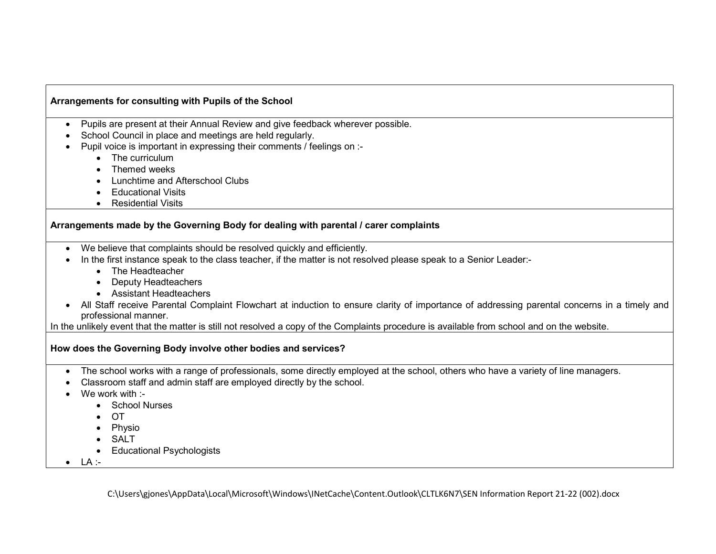#### Arrangements for consulting with Pupils of the School

- Pupils are present at their Annual Review and give feedback wherever possible.
- School Council in place and meetings are held regularly.
- Pupil voice is important in expressing their comments / feelings on :-
	- The curriculum
	- Themed weeks
	- Lunchtime and Afterschool Clubs
	- Educational Visits
	- Residential Visits

#### Arrangements made by the Governing Body for dealing with parental / carer complaints

- We believe that complaints should be resolved quickly and efficiently.
- In the first instance speak to the class teacher, if the matter is not resolved please speak to a Senior Leader:-
	- The Headteacher
	- Deputy Headteachers
	- Assistant Headteachers
- All Staff receive Parental Complaint Flowchart at induction to ensure clarity of importance of addressing parental concerns in a timely and professional manner.

In the unlikely event that the matter is still not resolved a copy of the Complaints procedure is available from school and on the website.

#### How does the Governing Body involve other bodies and services?

- The school works with a range of professionals, some directly employed at the school, others who have a variety of line managers.
- Classroom staff and admin staff are employed directly by the school.
- We work with :-
	- School Nurses
	- $\bullet$  OT
	- Physio
	- SALT
	- Educational Psychologists
- $\bullet$  LA :-